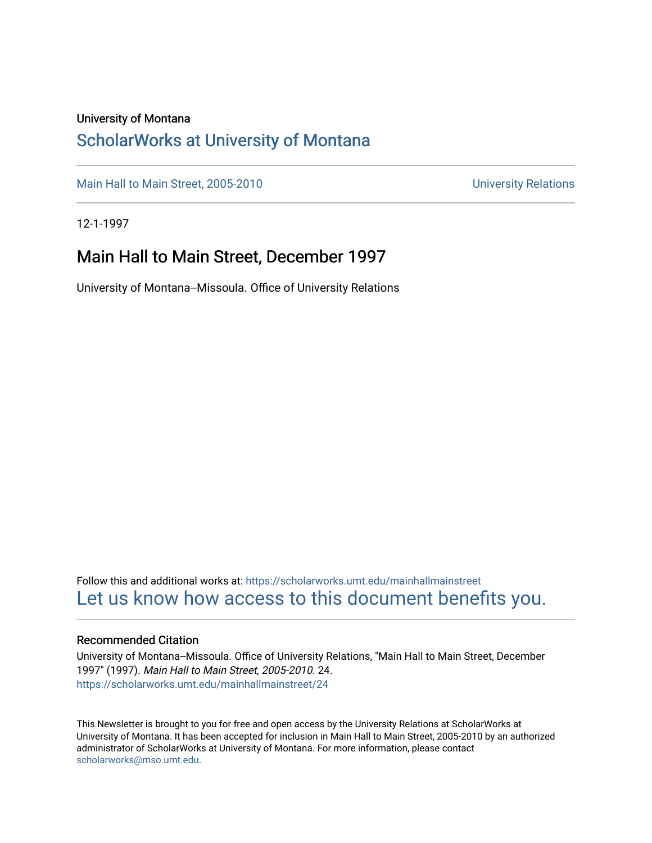#### University of Montana

### [ScholarWorks at University of Montana](https://scholarworks.umt.edu/)

[Main Hall to Main Street, 2005-2010](https://scholarworks.umt.edu/mainhallmainstreet) Main Hall to Main Street, 2005-2010

12-1-1997

#### Main Hall to Main Street, December 1997

University of Montana--Missoula. Office of University Relations

Follow this and additional works at: [https://scholarworks.umt.edu/mainhallmainstreet](https://scholarworks.umt.edu/mainhallmainstreet?utm_source=scholarworks.umt.edu%2Fmainhallmainstreet%2F24&utm_medium=PDF&utm_campaign=PDFCoverPages) [Let us know how access to this document benefits you.](https://goo.gl/forms/s2rGfXOLzz71qgsB2) 

#### Recommended Citation

University of Montana--Missoula. Office of University Relations, "Main Hall to Main Street, December 1997" (1997). Main Hall to Main Street, 2005-2010. 24. [https://scholarworks.umt.edu/mainhallmainstreet/24](https://scholarworks.umt.edu/mainhallmainstreet/24?utm_source=scholarworks.umt.edu%2Fmainhallmainstreet%2F24&utm_medium=PDF&utm_campaign=PDFCoverPages) 

This Newsletter is brought to you for free and open access by the University Relations at ScholarWorks at University of Montana. It has been accepted for inclusion in Main Hall to Main Street, 2005-2010 by an authorized administrator of ScholarWorks at University of Montana. For more information, please contact [scholarworks@mso.umt.edu.](mailto:scholarworks@mso.umt.edu)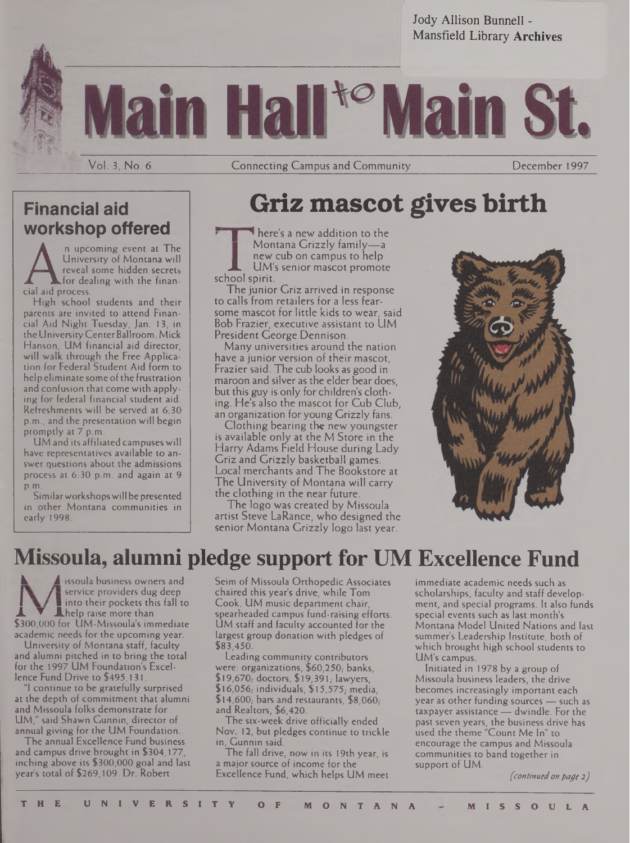Jody Allison Bunnell - Mansfield Library **Archives**



I H

Vol. 3, No. 6

**Connecting Campus and Community Connecting Campus and Community** December 1997

### **Financial aid workshop offered**

**n** upcoming event at The University of Montana will reveal some hidden secrets for dealing with the financial aid process.

High school students and their parents are invited to attend Financial Aid Night Tuesday, Jan. 13, in the UniversityCenterBallroom. Mick Hanson, UM financial aid director, will walk through the Free Application for Federal Student Aid form to help eliminate some of the frustration and confusion that come with applying for federal financial student aid. Refreshments will be served at 6:30 p.m., and the presentation will begin promptly at 7 p.m.

UM and its affiliated campuses will have representatives available to answer questions about the admissions process at 6:30 p.m. and again at 9 p.m.

Similarworkshopswill be presented in other Montana communities in early 1998.

### **Griz mascot gives birth**

here's a new addition to the Montana Grizzly family—*<sup>a</sup> UM's senior mascot promote* school spirit.

The junior Griz arrived in response to calls from retailers for a less fearsome mascot for little kids to wear, said Bob Frazier, executive assistant to UM President George Dennison.

Many universities around the nation have a junior version of their mascot, Frazier said. The cub looks as good in maroon and silver as the elder bear does, but this guy is only for children's clothing. He's also the mascot for Cub Club, an organization for young Grizzly fans.

Clothing bearing the new youngster is available only at the M Store in the Harry Adams Field House during Lady Griz and Grizzly basketball games. Local merchants and The Bookstore at The University of Montana will carry the clothing in the near future.

The logo was created by Missoula artist Steve LaRance, who designed the senior Montana Grizzly logo last year.



### **Missoula, alumni pledge support for UM Excellence Fund**

**Issoula business owners and** service providers dug deep into their pockets this fall to **L**help raise more than \$300,000 for UM-Missoula's immediate academic needs for the upcoming year.

University of Montana staff, faculty and alumni pitched in to bring the total for the 1997 UM Foundation's Excellence Fund Drive to \$495,131.

"1 continue to be gratefully surprised at the depth of commitment that alumni and Missoula folks demonstrate for UM," said Shawn Gunnin, director of annual giving for the UM Foundation.

The annual Excellence Fund business and campus drive brought in \$304,177, inching above its \$300,000 goal and last year's total of \$269,109. Dr. Robert

Seim of Missoula Orthopedic Associates chaired this year's drive, while Tom Cook, UM music department chair, spearheaded campus fund-raising efforts. UM staff and faculty accounted for the largest group donation with pledges of \$83,450.

Leading community contributors were: organizations, \$60,250; banks, \$19,670, doctors, \$19,391, lawyers,  $$16,056$ ; individuals,  $$15,575$ ; media,  $$14,600$ ; bars and restaurants,  $$8,060$ ; and Realtors, \$6,420.

The six-week drive officially ended Nov. 12, but pledges continue to trickle in, Gunnin said.

The fall drive, now in its 19th year, is a major source of income for the Excellence Fund, which helps UM meet immediate academic needs such as scholarships, faculty and staff development, and special programs. It also funds special events such as last month's Montana Model United Nations and last summer's Leadership Institute, both of which brought high school students to UM's campus.

Initiated in 1978 by a group of Missoula business leaders, the drive becomes increasingly important each year as other funding sources — such as taxpayer assistance — dwindle. For the past seven years, the business drive has used the theme "Count Me In" to encourage the campus and Missoula communities to band together in support of UM.

*(continuedonpage 2)*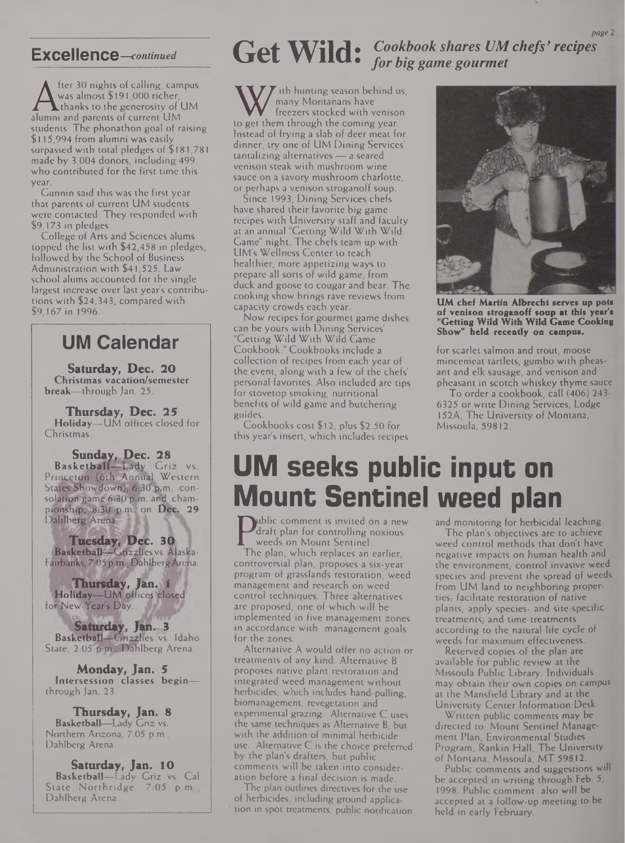A was almost \$191,000 richer,<br>thanks to the generosity of UM<br>alumni and parents of current UM<br>students. The phanathan goal of raising fter 30 nights of calling, campus was almost \$191,000 richer,  $\overline{\mathsf{t}}$  thanks to the generosity of  $\overline{\mathsf{U}}\mathsf{M}$ students. The phonathon goal of raising \$115,994 from alumni was easily surpassed with total pledges of \$181,781 made by 3,004 donors, including 499 who contributed for the first time this year.

Gunnin said this was the first year that parents of current UM students were contacted. They responded with \$9,173 in pledges.

College of Arts and Sciences alums topped the list with \$42,458 in pledges, followed by the School of Business Administration with \$41,525. Law school alums accounted for the single largest increase over last year's contributions with \$24,343, compared with \$9,167 in 1996.

### **UM Calendar**

**Saturday, Dec. 20 Christmas vacation/semester break—**through Jan. 25.

**Thursday, Dec. 25 Holiday—**UM offices closed for Christmas.

**Sunday, Dec. 28 Basketball—Lady Griz vs. Pringgtglh (6th Annual Western** States Showdown), 6:30 p.m, consolation game 6:30 p.m. and cham**pionship, 8:30 p m. on Dec. 29 Dahlberg Arena. <sup>J</sup> <sup>11</sup> \**

**Tuesday, Dec. 30 Basketball—Grizzlies,vs. Alaska-Fairbanks, 7'05 p.m., DahlbergArefia.**

**Thursday, Jan^a Holiday—UM offices closed** for New Year's Day.

**Saturday, Jan. .3 Basketball—**Grizzlies vs. Idaho State, 2:05 p.m., Dahlberg Arena.

**Monday, Jan. 5 Intersession classes begin** through Jan. 23.

**Thursday, Jan. 8 Basketball—**Lady Griz vs. Northern Arizona, 7:05 p.m., Dahlberg Arena.

**Saturday, Jan. 10 Basketball—**Lady Griz vs. Cal State Northridge, 7:05 p.m., Dahlberg Arena.

### Excellence—continued **Get Wild:** Cookbook shares UM chefs' recipes *for big game gourmet*

W ith hunting season behind if<br>freezers stocked with veniso<br>to get them through the coming year.<br>Instead of frying a slab of deer meat fo ith hunting season behind us, many Montanans have freezers stocked with venison Instead of frying a slab of deer meat for dinner, try one of UM Dining Services' tantalizing alternatives — a seared venison steak with mushroom wine sauce on a savory mushroom charlotte, or perhaps a venison stroganoff soup.

Since 1993, Dining Services chefs have shared their favorite big game recipes with University staff and faculty at an annual "Getting Wild With Wild Game" night. The chefs team up with UM's Wellness Center to teach healthier, more appetizing ways to prepare all sorts of wild game, from duck and goose to cougar and bear. The cooking show brings rave reviews from capacity crowds each year.

Now recipes for gourmet game dishes can be yours with Dining Services' "Getting Wild With Wild Game Cookbook." Cookbooks include a collection of recipes from each year of the event, along with a few of the chefs' personal favorites. Also included are tips for stovetop smoking, nutritional benefits of wild game and butchering guides.

Cookbooks cost \$12, plus \$2.50 for this year's insert, which includes recipes



**UM chef Martin Albrecht serves up pots of venison Stroganoff soup at this year's "Getting Wild With Wild Game Cooking Show" held recently on campus.**

for scarlet salmon and trout, moose mincemeat tartlets, gumbo with pheasant and elk sausage, and venison and pheasant in scotch whiskey thyme sauce.

To order a cookbook, call (406) 243- 6325 or write Dining Services, Lodge 152A, The University of Montana, Missoula, 59812.

## **UM seeks public input on Mount Sentinel weed plan**

**Paraft plan for controlling noxious**<br>
weeds on Mount Sentinel.<br>
The plan, which replaces an earlier, ublic comment is invited on a new draft plan for controlling noxious weeds on Mount Sentinel.

controversial plan, proposes a six-year program of grasslands restoration, weed management and research on weed control techniques. Three alternatives are proposed, one of which will be implemented in five management zones in accordance with management goals for the zones.

Alternative A would offer no action or treatments of any kind. Alternative <sup>B</sup> proposes native plant restoration and integrated weed management without herbicides, which includes hand-pulling, biomanagement, revegetation and experimental grazing. Alternative C uses the same techniques as Alternative B, but with the addition of minimal herbicide use. Alternative C is the choice preferred by the plan's drafters, but public comments will be taken into consideration before a final decision is made.

The plan outlines directives for the use of herbicides, including ground application in spot treatments, public notification and monitoring for herbicidal leaching.

The plan's objectives are to achieve weed control methods that don't have negative impacts on human health and the environment, control invasive weed species and prevent the spread of weeds from UM land to neighboring properties, facilitate restoration of native plants, apply species- and site-specific treatments, and time treatments according to the natural life cycle of weeds for maximum effectiveness.

Reserved copies of the plan are available for public review at the Missoula Public Library. Individuals may obtain their own copies on campus at the Mansfield Library and at the University Center Information Desk.

Written public comments may be directed to: Mount Sentinel Management Plan, Environmental Studies Program, Rankin Hall, The University of Montana, Missoula, MT 59812.

Public comments and suggestions will be accepted in writing through Feb. 5, 1998. Public comment also will be accepted at a follow-up meeting to be held in early February.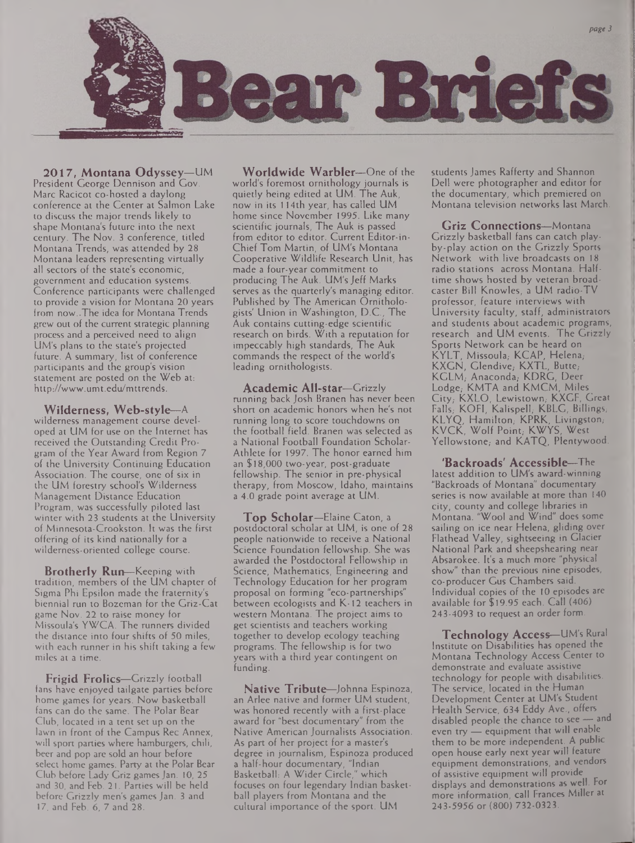

**2017, Montana Odyssey—**UM President George Dennison and Gov. Marc Racicot co-hosted a daylong conference at the Center at Salmon Lake to discuss the major trends likely to shape Montana's future into the next century. The Nov. 3 conference, titled Montana Trends, was attended by 28 Montana leaders representing virtually all sectors of the state's economic, government and education systems. Conference participants were challenged to provide a vision for Montana 20 years from now..The idea for Montana Trends grew out of the current strategic planning process and a perceived need to align UM's plans to the state's projected future. A summary, list of conference participants and the group's vision statement are posted on the Web at: <http://www.umt.edu/mttrends>.

**Wilderness, Web-style—**<sup>A</sup> wilderness management course developed at UM for use on the Internet has received the Outstanding Credit Program of the Year Award from Region 7 of the University Continuing Education Association. The course, one of six in the UM forestry school's Wilderness Management Distance Education Program, was successfully piloted last winter with 23 students at the University of Minnesota-Crookston. It was the first offering of its kind nationally for a wilderness-oriented college course.

**Brotherly Run—**Keeping with tradition, members of the UM chapter of Sigma Phi Epsilon made the fraternity's biennial run to Bozeman for the Griz-Cat game Nov. 22 to raise money for Missoula's YWCA. The runners divided the distance into four shifts of 50 miles, with each runner in his shift taking a few miles at a time.

**Frigid Frolics—**Grizzly football fans have enjoyed tailgate parties before home games for years. Now basketball fans can do the same. The Polar Bear Club, located in a tent set up on the lawn in front of the Campus Rec Annex, will sport parties where hamburgers, chili, beer and pop are sold an hour before select home games. Party at the Polar Bear Club before Lady Griz games Jan. 10, 25 and 30, and Feb. 21. Parties will be held before Grizzly men's games Jan. 3 and 17, and Feb. 6, 7 and 28.

**Worldwide Warbler—**One of the world's foremost ornithology journals is quietly being edited at UM. The Auk, now in its 114th year, has called UM home since November 1995. Like many scientific journals, The Auk is passed from editor to editor. Current Editor-in-Chief Tom Martin, of UM's Montana Cooperative Wildlife Research Unit, has made a four-year commitment to producing The Auk. UM's Jeff Marks serves as the quarterly's managing editor. Published by The American Ornithologists' Union in Washington, D.C., The Auk contains cutting-edge scientific research on birds. With a reputation for impeccably high standards, The Auk commands the respect of the world's leading ornithologists.

**Academic All-star—**Grizzly running back Josh Branen has never been short on academic honors when he's not running long to score touchdowns on the football field. Branen was selected as a National Football Foundation Scholar-Athlete for 1997. The honor earned him an \$18,000 two-year, post-graduate fellowship. The senior in pre-physical therapy, from Moscow, Idaho, maintains a 4.0 grade point average at UM.

**Top Scholar—**Elaine Caton, <sup>a</sup> postdoctoral scholar at UM, is one of 28 people nationwide to receive a National Science Foundation fellowship. She was awarded the Postdoctoral Fellowship in Science, Mathematics, Engineering and Technology Education for her program proposal on forming "eco-partnerships" between ecologists and K-12 teachers in western Montana. The project aims to get scientists and teachers working together to develop ecology teaching programs. The fellowship is for two years with a third year contingent on funding.

**Native Tribute—**Johnna Espinoza, an Arlee native and former UM student, was honored recently with a first-place award for "best documentary" from the Native American Journalists Association. As part of her project for a master's degree in journalism, Espinoza produced a half-hour documentary, "Indian Basketball: A Wider Circle," which focuses on four legendary Indian basketball players from Montana and the cultural importance of the sport. UM

students James Rafferty and Shannon Dell were photographer and editor for the documentary, which premiered on Montana television networks last March.

**Griz Connections—**Montana Grizzly basketball fans can catch playby-play action on the Grizzly Sports Network with live broadcasts on 18 radio stations across Montana. Halftime shows hosted by veteran broadcaster Bill Knowles, a UM radio-TV professor, feature interviews with University faculty, staff, administrators and students about academic programs, research and UM events. The Grizzly Sports Network can be heard on KYLT, Missoula,- KCAP, Helena,- KXGN, Glendive, KXTL, Butte, KGLM, Anaconda, KDRG, Deer Lodge, KMTA and KMCM, Miles City,- KXLO, Lewistown,- KXGF, Great Falls,- KOFI, Kalispell,- KBLG, Billings,- KLYQ, Hamilton, KPRK, Livingston, KVCK, Wolf Point, KWYS, West Yellowstone, and KATO, Plentywood.

**'Backroads' Accessible—**The latest addition to UM's award-winning "Backroads of Montana" documentary series is now available at more than 140 city, county and college libraries in Montana. "Wool and Wind" does some sailing on ice near Helena, gliding over Flathead Valley, sightseeing in Glacier National Park and sheepshearing near Absarokee. It's a much more "physical show" than the previous nine episodes, co-producer Gus Chambers said. Individual copies of the 10 episodes are available for \$19.95 each. Call (406) 243-4093 to request an order form.

**Technology Access—**UM's Rural Institute on Disabilities has opened the Montana Technology Access Center to demonstrate and evaluate assistive technology for people with disabilities. The service, located in the Human Development Center at UM's Student Health Service, 634 Eddy Ave., offers disabled people the chance to see — and even try — equipment that will enable them to be more independent. A public open house early next year will feature equipment demonstrations, and vendors of assistive equipment will provide displays and demonstrations as well. For more information, call Frances Miller at 243-5956 or (800) 732-0323.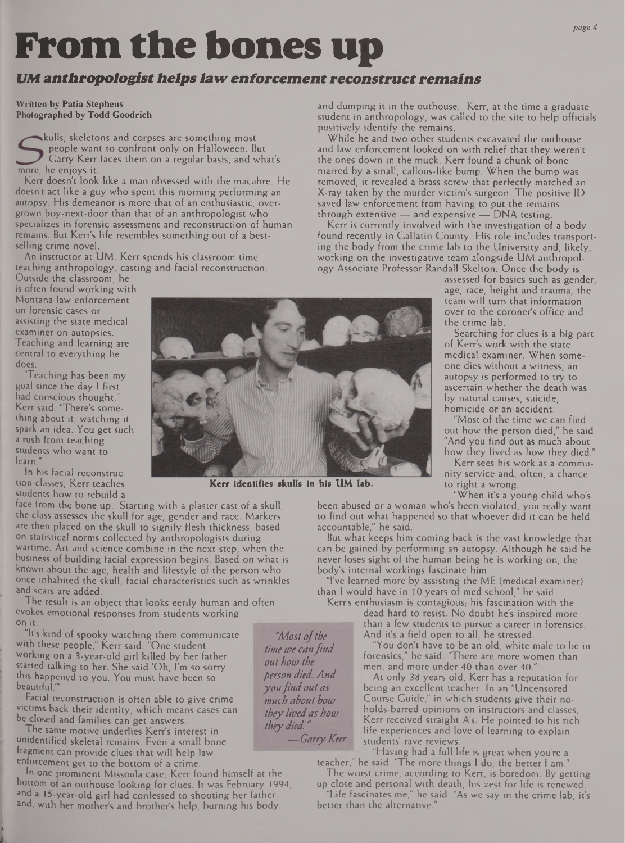# **From the bones up**

#### *UM anthropologisthelpslawenforcementreconstructremains*

**Written by Patia Stephens Photographed by Todd Goodrich**

kulls, skeletons and corpses are something most people want to confront only on Halloween. But Garry Kerr faces them on a regular basis, and what's more, he enjoys it.

Kerr doesn't look like a man obsessed with the macabre. He doesn't act like a guy who spent this morning performing an autopsy. His demeanor is more that of an enthusiastic, overgrown boy-next-door than that of an anthropologist who specializes in forensic assessment and reconstruction of human remains. But Kerr's life resembles something out of a bestselling crime novel.

An instructor at UM, Kerr spends his classroom time teaching anthropology, casting and facial reconstruction.

Outside the classroom, he is often found working with Montana law enforcement on forensic cases or assisting the state medical examiner on autopsies. Teaching and learning are central to everything he does.

"Teaching has been my goal since the day <sup>I</sup> first had conscious thought," Kerr said. "There's something about it, watching it spark an idea. You get such a rush from teaching students who want to learn."

In his facial reconstruction classes, Kerr teaches students how to rebuild a

face from the bone up. Starting with a plaster cast of a skull, the class assesses the skull for age, gender and race. Markers are then placed on the skull to signify flesh thickness, based on statistical norms collected by anthropologists during wartime. Art and science combine in the next step, when the business of building facial expression begins. Based on what is known about the age, health and lifestyle of the person who once inhabited the skull, facial characteristics such as wrinkles and scars are added.

The result is an object that looks eerily human and often evokes emotional responses from students working on it.

"It's kind of spooky watching them communicate with these people," Kerr said. "One student working on a 3-year-old girl killed by her father started talking to her. She said 'Oh, I'm so sorry this happened to you. You must have been so  $be a util.$ 

Facial reconstruction is often able to give crime victims back their identity, which means cases can be closed and families can get answers.

The same motive underlies Kerr's interest in unidentified skeletal remains. Even a small bone fragment can provide clues that will help law enforcement get to the bottom of a crime.

In one prominent Missoula case, Kerr found himself at the bottom of an outhouse looking for clues. It was February 1994, and a 15-year-old girl had confessed to shooting her father and, with her mothers and brother's help, burning his body

and dumping it in the outhouse. Kerr, at the time a graduate student in anthropology, was called to the site to help officials positively identify the remains.

While he and two other students excavated the outhouse and law enforcement looked on with relief that they weren't the ones down in the muck, Kerr found a chunk of bone marred by a small, callous-like bump. When the bump was removed, it revealed a brass screw that perfectly matched an X-ray taken by the murder victim's surgeon. The positive ID saved law enforcement from having to put the remains through extensive — and expensive — DNA testing.

Kerr is currently involved with the investigation of a body found recently in Gallatin County. His role includes transporting the body from the crime lab to the University and, likely, working on the investigative team alongside UM anthropology Associate Professor Randall Skelton. Once the body is

assessed for basics such as gender, age, race, height and trauma, the team will turn that information over to the coroner's office and the crime lab.

Searching for clues is a big part of Kerr's work with the state medical examiner. When someone dies without a witness, an autopsy is performed to try to ascertain whether the death was by natural causes, suicide, homicide or an accident.

"Most of the time we can find out how the person died," he said. "And you find out as much about how they lived as how they died."

Kerr sees his work as a community service and, often, a chance to right a wrong.

"When it's a young child who's

been abused or a woman who's been violated, you really want to find out what happened so that whoever did it can be held accountable," he said.

But what keeps him coming back is the vast knowledge that can be gained by performing an autopsy. Although he said he never loses sight of the human being he is working on, the body's internal workings fascinate him.

"I've learned more by assisting the ME (medical examiner) than <sup>I</sup> would have in 10 years of med school," he said.

Kerr's enthusiasm is contagious, his fascination with the dead hard to resist. No doubt he's inspired more than a few students to pursue a career in forensics. And it's a field open to all, he stressed.

"You don't have to be an old, white male to be in forensics," he said. "There are more women than men, and more under 40 than over 40."

At only 38 years old, Kerr has a reputation for being an excellent teacher. In an "Uncensored Course Guide," in which students give their noholds-barred opinions on instructors and classes, Kerr received straight A's. He pointed to his rich life experiences and love of learning to explain students' rave reviews.

"Having had a full life is great when you're a teacher," he said. 'The more things <sup>I</sup> do, the better <sup>1</sup> am."

The worst crime, according to Kerr, is boredom. By getting up dose and personal with death, his zest for life is renewed.

"Life fascinates me," he said. "As we say in the crime lab, it's better than the alternative.

**Kerr identifies skulls in his UM lab.**

*"Mostofthe time toe canfind out bow the person died. And youfindoutas much about how they livedas how theydied."*

*—GarryKerr*

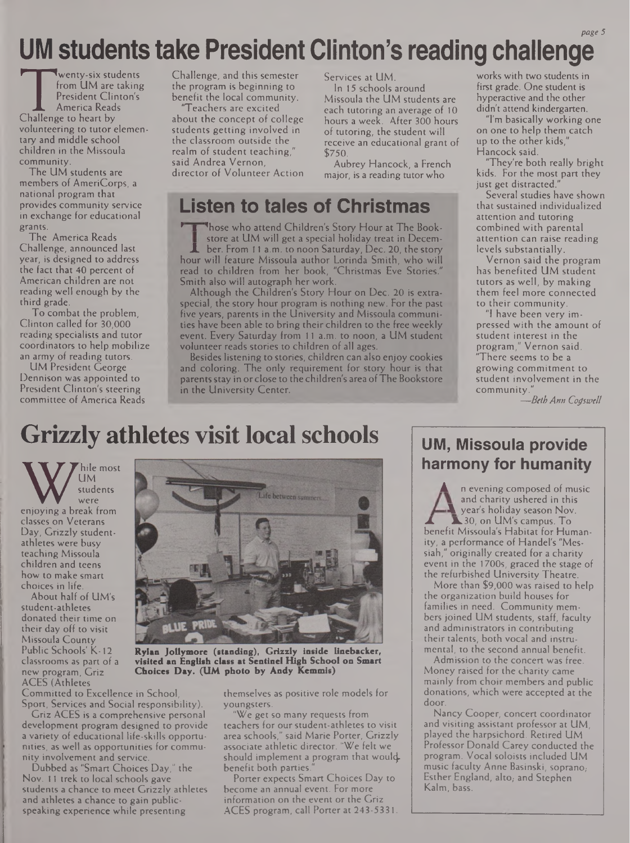### UM students take President Clinton's reading challenge

Wenty-six sturfrom UM are<br>
Fresident Clin<br>
America Reac<br>
Challenge to heart by wenty-six students from UM are taking President Clinton's America Reads volunteering to tutor elementary and middle school children in the Missoula community.

The UM students are members of AmeriCorps, a national program that provides community service in exchange for educational grants.

The America Reads Challenge, announced last year, is designed to address the fact that 40 percent of American children are not reading well enough by the third grade.

To combat the problem, Clinton called for 30,000 reading specialists and tutor coordinators to help mobilize an army of reading tutors.

UM President George Dennison was appointed to President Clinton's steering committee of America Reads Challenge, and this semester the program is beginning to benefit the local community.

Teachers are excited about the concept of college students getting involved in the classroom outside the realm of student teaching." said Andrea Vernon, director of Volunteer Action Services at UM.

In 15 schools around Missoula the UM students are each tutoring an average of 10 hours a week. After 300 hours of tutoring, the student will receive an educational grant of \$750.

Aubrey Hancock, a French major, is a reading tutor who

### **Listen to tales of Christmas**

Those who attend Children's Story Hour at The Bookstore at UM will get a special holiday treat in December. From 11 a.m. to noon Saturday, Dec. 20, the story hour will feature Missoula author Lorinda Smith, who will read to children from her book, "Christmas Eve Stories." Smith also will autograph her work.

Although the Children's Story Hour on Dec. 20 is extraspecial, the story hour program is nothing new. For the past five years, parents in the University and Missoula communities have been able to bring their children to the free weekly event. Every Saturday from <sup>11</sup> a.m. to noon, a UM student volunteer reads stories to children of all ages.

Besides listening to stories, children can also enjoy cookies and coloring. The only requirement for story hour is that parents stay in or close to the children's areaofThe Bookstore in the University Center.

works with two students in first grade. One student is hyperactive and the other didn't attend kindergarten.

"I'm basically working one on one to help them catch up to the other kids' Hancock said.

"They're both really bright kids. For the most part they just get distracted."

Several studies have shown that sustained individualized attention and tutoring combined with parental attention can raise reading levels substantially.

Vernon said the program has benefited UM student tutors as well, by making them feel more connected to their community.

"I have been very impressed with the amount of student interest in the program," Vernon said. "There seems to be a growing commitment to student involvement in the community.

*—BethAnn Cogswell*

### **Grizzly athletes visit local schools**

W Like mos<br>
students<br>
enjoying a break from hile most UM students were classes on Veterans Day, Grizzly studentathletes were busy teaching Missoula children and teens how to make smart choices in life.

About half of UM's student-athletes donated their time on their day off to visit Missoula County Public Schools' K-12 classrooms as part of a new program, Griz ACES (Athletes

Committed to Excellence in School, Sport, Services and Social responsibility).

Griz ACES is a comprehensive personal development program designed to provide a variety of educational life-skills opportunities, as well as opportunities for community involvement and service.

Dubbed as "Smart Choices Day," the Nov. <sup>11</sup> trek to local schools gave students a chance to meet Grizzly athletes and athletes a chance to gain publicspeaking experience while presenting



**Rylan Jollymore (standing), Grizzly inside linebacker, visited an English class at Sentinel High School on Smart Choices Day. (UM photo by Andy Kemmis)**

themselves as positive role models for youngsters.

"We get so many requests from teachers for our student-athletes to visit area schools," said Marie Porter, Grizzly associate athletic director. "We felt we should implement a program that wouldbenefit both parties.

Porter expects Smart Choices Day to become an annual event. For more information on the event or the Griz ACES program, call Porter at 243-5331.

### **UM, Missoula provide harmony for humanity**

n evening composed of music and charity ushered in this year's holiday season Nov. **JL** 30, on UM's campus. To benefit Missoula's Habitat for Humanity, a performance of Handel's "Messiah," originally created for a charity event in the 1700s, graced the stage of the refurbished University Theatre.

More than \$9,000 was raised to help the organization build houses for families in need. Community members joined UM students, staff, faculty and administrators in contributing their talents, both vocal and instrumental, to the second annual benefit.

Admission to the concert was free. Money raised for the charity came mainly from choir members and public donations, which were accepted at the door.

Nancy Cooper, concert coordinator and visiting assistant professor at UM, played the harpsichord. Retired UM Professor Donald Carey conducted the program. Vocal soloists included UM music faculty Anne Basinski, soprano, Esther England, alto, and Stephen Kalm, bass.